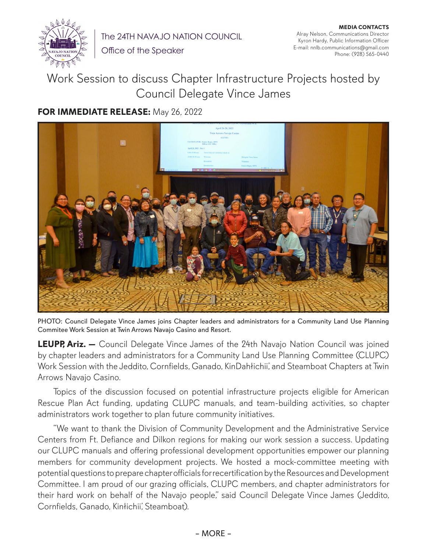

**MEDIA CONTACTS** Alray Nelson, Communications Director Kyron Hardy, Public Information Officer E-mail: nnlb.communications@gmail.com Phone: (928) 565-0440

Office of the Speaker

## Work Session to discuss Chapter Infrastructure Projects hosted by Council Delegate Vince James

## **FOR IMMEDIATE RELEASE:** May 26, 2022



PHOTO: Council Delegate Vince James joins Chapter leaders and administrators for a Community Land Use Planning Commitee Work Session at Twin Arrows Navajo Casino and Resort.

**LEUPP, Ariz.** - Council Delegate Vince James of the 24th Navajo Nation Council was joined by chapter leaders and administrators for a Community Land Use Planning Committee (CLUPC) Work Session with the Jeddito, Cornfields, Ganado, KinDahłichii', and Steamboat Chapters at Twin Arrows Navajo Casino.

Topics of the discussion focused on potential infrastructure projects eligible for American Rescue Plan Act funding, updating CLUPC manuals, and team-building activities, so chapter administrators work together to plan future community initiatives.

"We want to thank the Division of Community Development and the Administrative Service Centers from Ft. Defiance and Dilkon regions for making our work session a success. Updating our CLUPC manuals and offering professional development opportunities empower our planning members for community development projects. We hosted a mock-committee meeting with potential questions to prepare chapter officials for recertification by the Resources and Development Committee. I am proud of our grazing officials, CLUPC members, and chapter administrators for their hard work on behalf of the Navajo people," said Council Delegate Vince James (Jeddito, Cornfields, Ganado, Kinłichii', Steamboat).